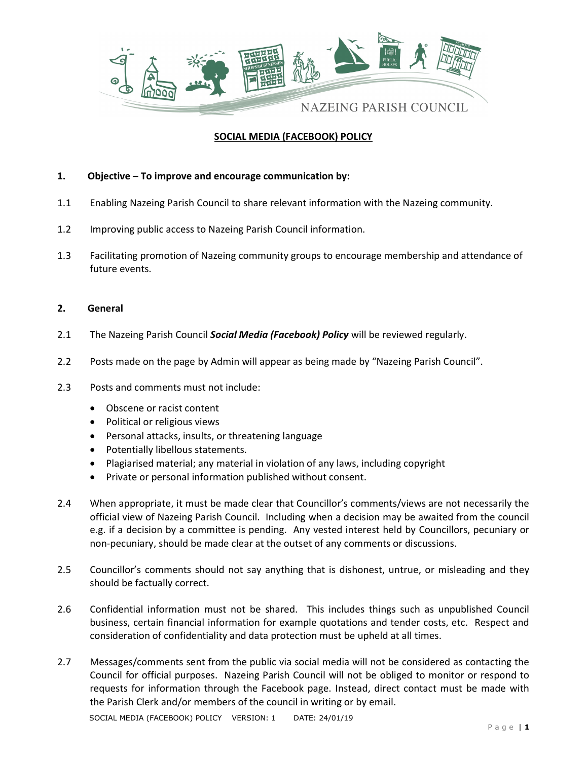

## SOCIAL MEDIA (FACEBOOK) POLICY

## 1. Objective – To improve and encourage communication by:

- 1.1 Enabling Nazeing Parish Council to share relevant information with the Nazeing community.
- 1.2 Improving public access to Nazeing Parish Council information.
- 1.3 Facilitating promotion of Nazeing community groups to encourage membership and attendance of future events.

## 2. General

- 2.1 The Nazeing Parish Council **Social Media (Facebook) Policy** will be reviewed regularly.
- 2.2 Posts made on the page by Admin will appear as being made by "Nazeing Parish Council".
- 2.3 Posts and comments must not include:
	- Obscene or racist content
	- Political or religious views
	- Personal attacks, insults, or threatening language
	- Potentially libellous statements.
	- Plagiarised material; any material in violation of any laws, including copyright
	- Private or personal information published without consent.
- 2.4 When appropriate, it must be made clear that Councillor's comments/views are not necessarily the official view of Nazeing Parish Council. Including when a decision may be awaited from the council e.g. if a decision by a committee is pending. Any vested interest held by Councillors, pecuniary or non-pecuniary, should be made clear at the outset of any comments or discussions.
- 2.5 Councillor's comments should not say anything that is dishonest, untrue, or misleading and they should be factually correct.
- 2.6 Confidential information must not be shared. This includes things such as unpublished Council business, certain financial information for example quotations and tender costs, etc. Respect and consideration of confidentiality and data protection must be upheld at all times.
- 2.7 Messages/comments sent from the public via social media will not be considered as contacting the Council for official purposes. Nazeing Parish Council will not be obliged to monitor or respond to requests for information through the Facebook page. Instead, direct contact must be made with the Parish Clerk and/or members of the council in writing or by email.